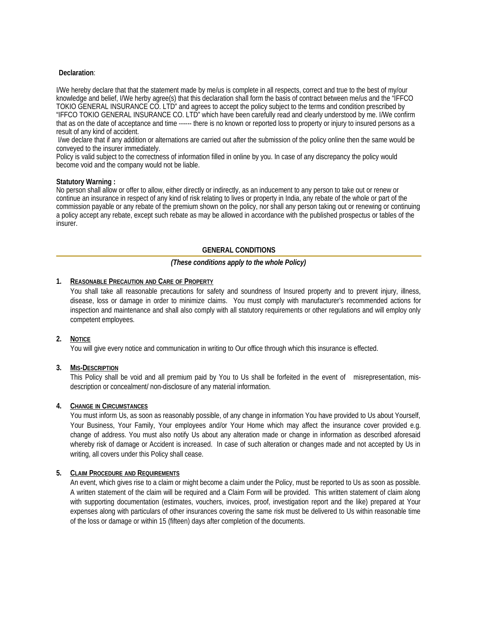# **Declaration**:

I/We hereby declare that that the statement made by me/us is complete in all respects, correct and true to the best of my/our knowledge and belief, I/We herby agree(s) that this declaration shall form the basis of contract between me/us and the "IFFCO TOKIO GENERAL INSURANCE CO. LTD" and agrees to accept the policy subject to the terms and condition prescribed by "IFFCO TOKIO GENERAL INSURANCE CO. LTD" which have been carefully read and clearly understood by me. I/We confirm that as on the date of acceptance and time ------ there is no known or reported loss to property or injury to insured persons as a result of any kind of accident.

 I/we declare that if any addition or alternations are carried out after the submission of the policy online then the same would be conveyed to the insurer immediately.

Policy is valid subject to the correctness of information filled in online by you. In case of any discrepancy the policy would become void and the company would not be liable.

#### **Statutory Warning :**

No person shall allow or offer to allow, either directly or indirectly, as an inducement to any person to take out or renew or continue an insurance in respect of any kind of risk relating to lives or property in India, any rebate of the whole or part of the commission payable or any rebate of the premium shown on the policy, nor shall any person taking out or renewing or continuing a policy accept any rebate, except such rebate as may be allowed in accordance with the published prospectus or tables of the insurer.

## **GENERAL CONDITIONS**

## *(These conditions apply to the whole Policy)*

#### **1. REASONABLE PRECAUTION AND CARE OF PROPERTY**

You shall take all reasonable precautions for safety and soundness of Insured property and to prevent injury, illness, disease, loss or damage in order to minimize claims. You must comply with manufacturer's recommended actions for inspection and maintenance and shall also comply with all statutory requirements or other regulations and will employ only competent employees.

#### **2. NOTICE**

You will give every notice and communication in writing to Our office through which this insurance is effected.

## **3. MIS-DESCRIPTION**

This Policy shall be void and all premium paid by You to Us shall be forfeited in the event of misrepresentation, misdescription or concealment/ non-disclosure of any material information.

## **4. CHANGE IN CIRCUMSTANCES**

You must inform Us, as soon as reasonably possible, of any change in information You have provided to Us about Yourself, Your Business, Your Family, Your employees and/or Your Home which may affect the insurance cover provided e.g. change of address. You must also notify Us about any alteration made or change in information as described aforesaid whereby risk of damage or Accident is increased. In case of such alteration or changes made and not accepted by Us in writing, all covers under this Policy shall cease.

#### **5. CLAIM PROCEDURE AND REQUIREMENTS**

An event, which gives rise to a claim or might become a claim under the Policy, must be reported to Us as soon as possible. A written statement of the claim will be required and a Claim Form will be provided. This written statement of claim along with supporting documentation (estimates, vouchers, invoices, proof, investigation report and the like) prepared at Your expenses along with particulars of other insurances covering the same risk must be delivered to Us within reasonable time of the loss or damage or within 15 (fifteen) days after completion of the documents.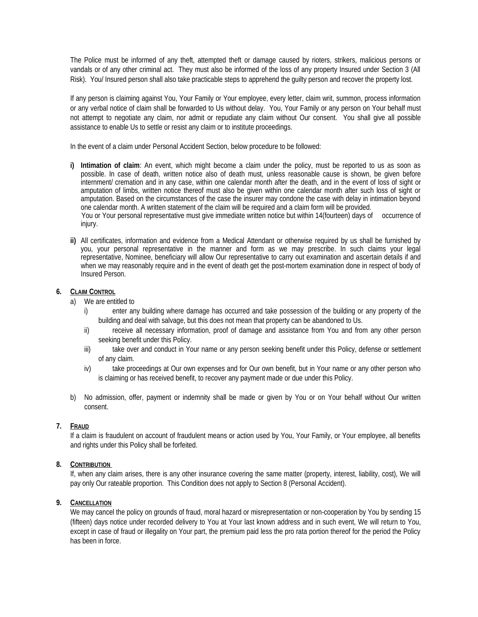The Police must be informed of any theft, attempted theft or damage caused by rioters, strikers, malicious persons or vandals or of any other criminal act. They must also be informed of the loss of any property Insured under Section 3 (All Risk). You/ Insured person shall also take practicable steps to apprehend the guilty person and recover the property lost.

If any person is claiming against You, Your Family or Your employee, every letter, claim writ, summon, process information or any verbal notice of claim shall be forwarded to Us without delay. You, Your Family or any person on Your behalf must not attempt to negotiate any claim, nor admit or repudiate any claim without Our consent. You shall give all possible assistance to enable Us to settle or resist any claim or to institute proceedings.

In the event of a claim under Personal Accident Section, below procedure to be followed:

**i) Intimation of claim**: An event, which might become a claim under the policy, must be reported to us as soon as possible. In case of death, written notice also of death must, unless reasonable cause is shown, be given before internment/ cremation and in any case, within one calendar month after the death, and in the event of loss of sight or amputation of limbs, written notice thereof must also be given within one calendar month after such loss of sight or amputation. Based on the circumstances of the case the insurer may condone the case with delay in intimation beyond one calendar month. A written statement of the claim will be required and a claim form will be provided.

 You or Your personal representative must give immediate written notice but within 14(fourteen) days of occurrence of injury.

**ii)** All certificates, information and evidence from a Medical Attendant or otherwise required by us shall be furnished by you, your personal representative in the manner and form as we may prescribe. In such claims your legal representative, Nominee, beneficiary will allow Our representative to carry out examination and ascertain details if and when we may reasonably require and in the event of death get the post-mortem examination done in respect of body of Insured Person.

# **6. CLAIM CONTROL**

- a) We are entitled to
	- i) enter any building where damage has occurred and take possession of the building or any property of the building and deal with salvage, but this does not mean that property can be abandoned to Us.
	- ii) receive all necessary information, proof of damage and assistance from You and from any other person seeking benefit under this Policy.
	- iii) take over and conduct in Your name or any person seeking benefit under this Policy, defense or settlement of any claim.
	- iv) take proceedings at Our own expenses and for Our own benefit, but in Your name or any other person who is claiming or has received benefit, to recover any payment made or due under this Policy.
- b) No admission, offer, payment or indemnity shall be made or given by You or on Your behalf without Our written consent.

## **7. FRAUD**

If a claim is fraudulent on account of fraudulent means or action used by You, Your Family, or Your employee, all benefits and rights under this Policy shall be forfeited.

## **8. CONTRIBUTION**

If, when any claim arises, there is any other insurance covering the same matter (property, interest, liability, cost), We will pay only Our rateable proportion. This Condition does not apply to Section 8 (Personal Accident).

## **9. CANCELLATION**

We may cancel the policy on grounds of fraud, moral hazard or misrepresentation or non-cooperation by You by sending 15 (fifteen) days notice under recorded delivery to You at Your last known address and in such event, We will return to You, except in case of fraud or illegality on Your part, the premium paid less the pro rata portion thereof for the period the Policy has been in force.